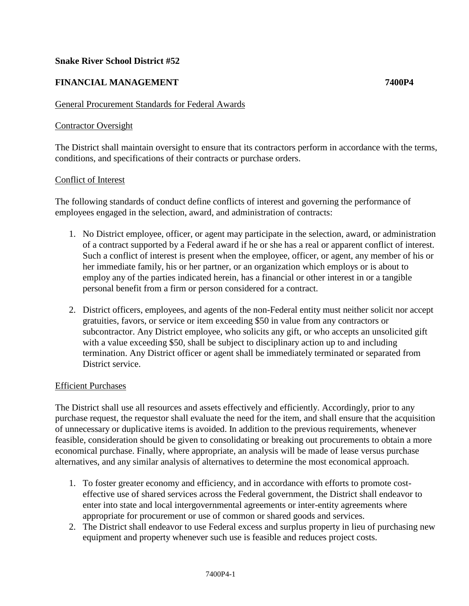## **Snake River School District #52**

# **FINANCIAL MANAGEMENT 7400P4**

## General Procurement Standards for Federal Awards

#### Contractor Oversight

The District shall maintain oversight to ensure that its contractors perform in accordance with the terms, conditions, and specifications of their contracts or purchase orders.

#### Conflict of Interest

The following standards of conduct define conflicts of interest and governing the performance of employees engaged in the selection, award, and administration of contracts:

- 1. No District employee, officer, or agent may participate in the selection, award, or administration of a contract supported by a Federal award if he or she has a real or apparent conflict of interest. Such a conflict of interest is present when the employee, officer, or agent, any member of his or her immediate family, his or her partner, or an organization which employs or is about to employ any of the parties indicated herein, has a financial or other interest in or a tangible personal benefit from a firm or person considered for a contract.
- 2. District officers, employees, and agents of the non-Federal entity must neither solicit nor accept gratuities, favors, or service or item exceeding \$50 in value from any contractors or subcontractor. Any District employee, who solicits any gift, or who accepts an unsolicited gift with a value exceeding \$50, shall be subject to disciplinary action up to and including termination. Any District officer or agent shall be immediately terminated or separated from District service.

### Efficient Purchases

The District shall use all resources and assets effectively and efficiently. Accordingly, prior to any purchase request, the requestor shall evaluate the need for the item, and shall ensure that the acquisition of unnecessary or duplicative items is avoided. In addition to the previous requirements, whenever feasible, consideration should be given to consolidating or breaking out procurements to obtain a more economical purchase. Finally, where appropriate, an analysis will be made of lease versus purchase alternatives, and any similar analysis of alternatives to determine the most economical approach.

- 1. To foster greater economy and efficiency, and in accordance with efforts to promote costeffective use of shared services across the Federal government, the District shall endeavor to enter into state and local intergovernmental agreements or inter-entity agreements where appropriate for procurement or use of common or shared goods and services.
- 2. The District shall endeavor to use Federal excess and surplus property in lieu of purchasing new equipment and property whenever such use is feasible and reduces project costs.